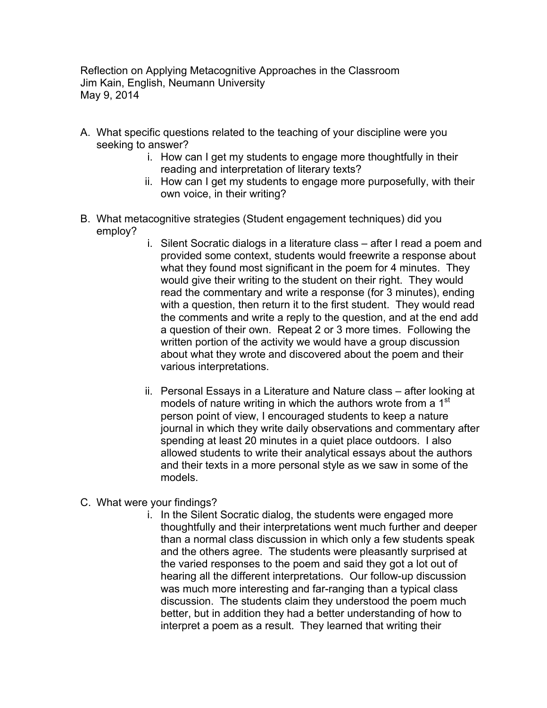Reflection on Applying Metacognitive Approaches in the Classroom Jim Kain, English, Neumann University May 9, 2014

- A. What specific questions related to the teaching of your discipline were you seeking to answer?
	- i. How can I get my students to engage more thoughtfully in their reading and interpretation of literary texts?
	- ii. How can I get my students to engage more purposefully, with their own voice, in their writing?
- B. What metacognitive strategies (Student engagement techniques) did you employ?
	- i. Silent Socratic dialogs in a literature class after I read a poem and provided some context, students would freewrite a response about what they found most significant in the poem for 4 minutes. They would give their writing to the student on their right. They would read the commentary and write a response (for 3 minutes), ending with a question, then return it to the first student. They would read the comments and write a reply to the question, and at the end add a question of their own. Repeat 2 or 3 more times. Following the written portion of the activity we would have a group discussion about what they wrote and discovered about the poem and their various interpretations.
	- ii. Personal Essays in a Literature and Nature class after looking at models of nature writing in which the authors wrote from a 1<sup>st</sup> person point of view, I encouraged students to keep a nature journal in which they write daily observations and commentary after spending at least 20 minutes in a quiet place outdoors. I also allowed students to write their analytical essays about the authors and their texts in a more personal style as we saw in some of the models.
- C. What were your findings?
	- i. In the Silent Socratic dialog, the students were engaged more thoughtfully and their interpretations went much further and deeper than a normal class discussion in which only a few students speak and the others agree. The students were pleasantly surprised at the varied responses to the poem and said they got a lot out of hearing all the different interpretations. Our follow-up discussion was much more interesting and far-ranging than a typical class discussion. The students claim they understood the poem much better, but in addition they had a better understanding of how to interpret a poem as a result. They learned that writing their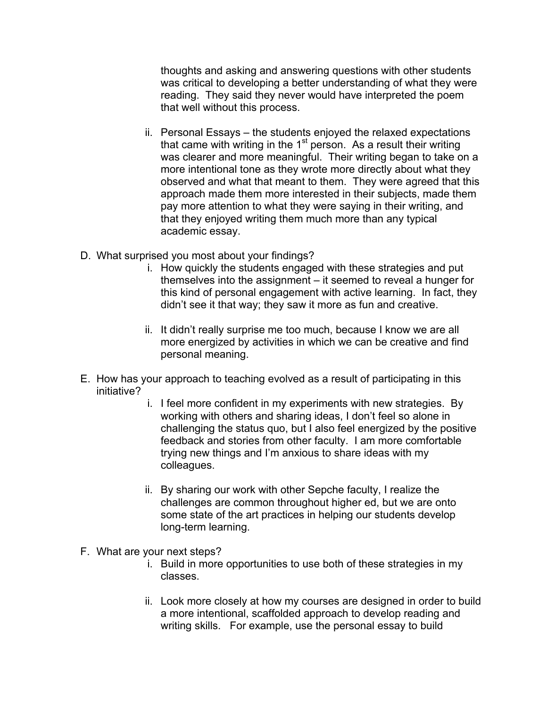thoughts and asking and answering questions with other students was critical to developing a better understanding of what they were reading. They said they never would have interpreted the poem that well without this process.

- ii. Personal Essays the students enjoyed the relaxed expectations that came with writing in the  $1<sup>st</sup>$  person. As a result their writing was clearer and more meaningful. Their writing began to take on a more intentional tone as they wrote more directly about what they observed and what that meant to them. They were agreed that this approach made them more interested in their subjects, made them pay more attention to what they were saying in their writing, and that they enjoyed writing them much more than any typical academic essay.
- D. What surprised you most about your findings?
	- i. How quickly the students engaged with these strategies and put themselves into the assignment – it seemed to reveal a hunger for this kind of personal engagement with active learning. In fact, they didn't see it that way; they saw it more as fun and creative.
	- ii. It didn't really surprise me too much, because I know we are all more energized by activities in which we can be creative and find personal meaning.
- E. How has your approach to teaching evolved as a result of participating in this initiative?
	- i. I feel more confident in my experiments with new strategies. By working with others and sharing ideas, I don't feel so alone in challenging the status quo, but I also feel energized by the positive feedback and stories from other faculty. I am more comfortable trying new things and I'm anxious to share ideas with my colleagues.
	- ii. By sharing our work with other Sepche faculty, I realize the challenges are common throughout higher ed, but we are onto some state of the art practices in helping our students develop long-term learning.
- F. What are your next steps?
	- i. Build in more opportunities to use both of these strategies in my classes.
	- ii. Look more closely at how my courses are designed in order to build a more intentional, scaffolded approach to develop reading and writing skills. For example, use the personal essay to build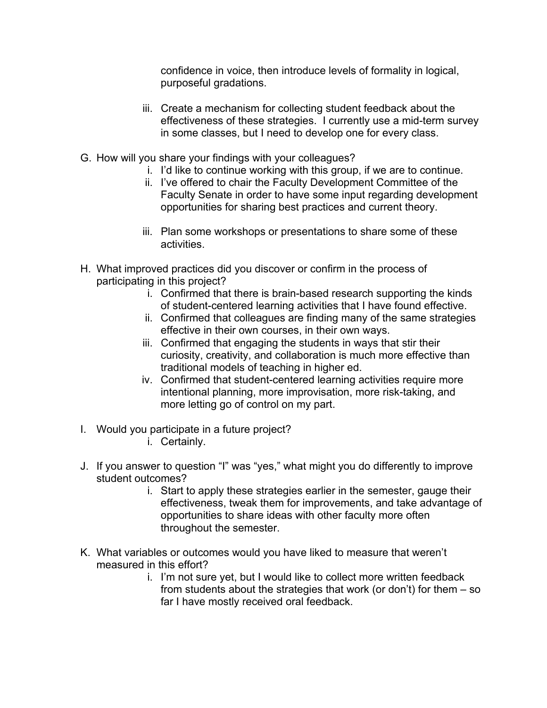confidence in voice, then introduce levels of formality in logical, purposeful gradations.

- iii. Create a mechanism for collecting student feedback about the effectiveness of these strategies. I currently use a mid-term survey in some classes, but I need to develop one for every class.
- G. How will you share your findings with your colleagues?
	- i. I'd like to continue working with this group, if we are to continue.
	- ii. I've offered to chair the Faculty Development Committee of the Faculty Senate in order to have some input regarding development opportunities for sharing best practices and current theory.
	- iii. Plan some workshops or presentations to share some of these activities.
- H. What improved practices did you discover or confirm in the process of participating in this project?
	- i. Confirmed that there is brain-based research supporting the kinds of student-centered learning activities that I have found effective.
	- ii. Confirmed that colleagues are finding many of the same strategies effective in their own courses, in their own ways.
	- iii. Confirmed that engaging the students in ways that stir their curiosity, creativity, and collaboration is much more effective than traditional models of teaching in higher ed.
	- iv. Confirmed that student-centered learning activities require more intentional planning, more improvisation, more risk-taking, and more letting go of control on my part.
- I. Would you participate in a future project?
	- i. Certainly.
- J. If you answer to question "I" was "yes," what might you do differently to improve student outcomes?
	- i. Start to apply these strategies earlier in the semester, gauge their effectiveness, tweak them for improvements, and take advantage of opportunities to share ideas with other faculty more often throughout the semester.
- K. What variables or outcomes would you have liked to measure that weren't measured in this effort?
	- i. I'm not sure yet, but I would like to collect more written feedback from students about the strategies that work (or don't) for them – so far I have mostly received oral feedback.